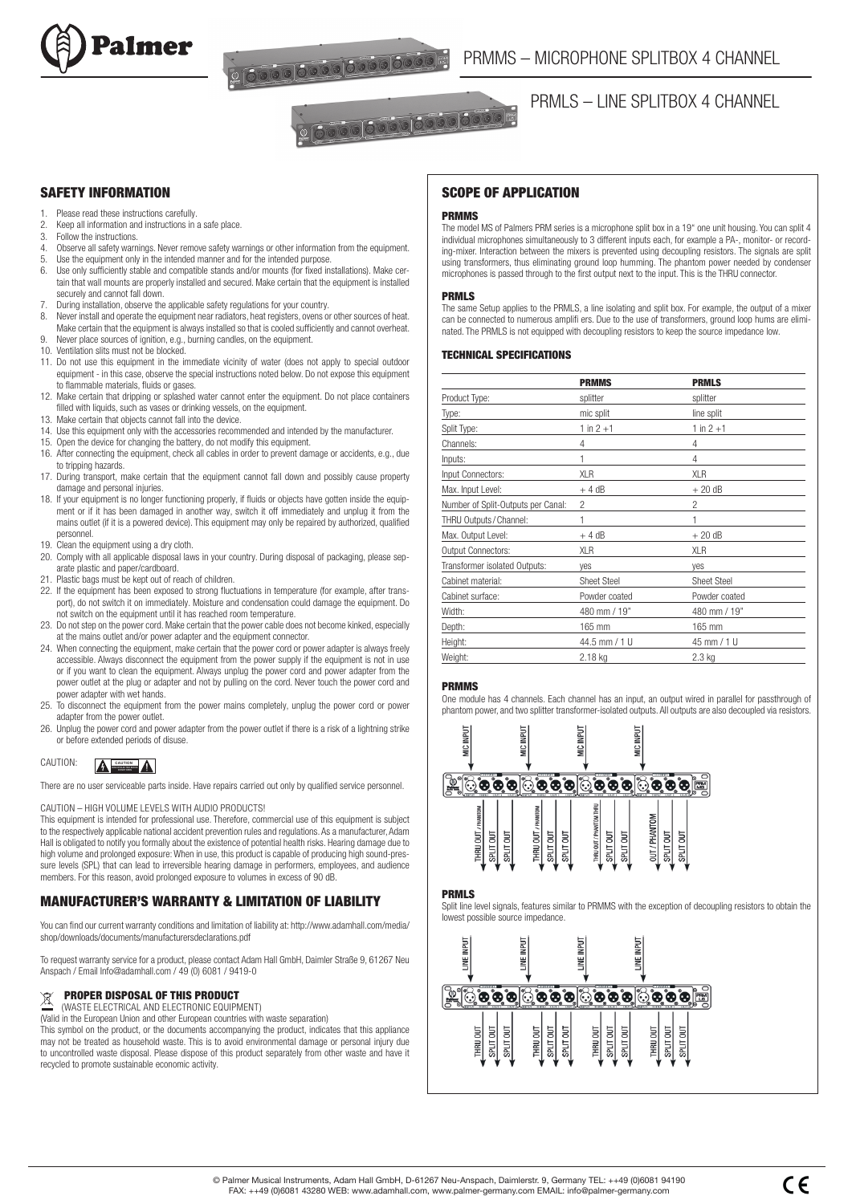



<u>a 6000 0000 0000 0000 m</u>

# SAFETY INFORMATION

- 1. Please read these instructions carefully<br>2. Keep all information and instructions in
- 2. Keep all information and instructions in a safe place.<br>3. Follow the instructions.
- Follow the instructions.
- 4. Observe all safety warnings. Never remove safety warnings or other information from the equipment.<br>5. Use the equipment only in the intended manner and for the intended purpose
- 5. Use the equipment only in the intended manner and for the intended purpose.<br>6. Use only sufficiently stable and compatible stands and/or mounts (for fixed in
- Use only sufficiently stable and compatible stands and/or mounts (for fixed installations). Make certain that wall mounts are properly installed and secured. Make certain that the equipment is installed securely and cannot fall down.
- During installation, observe the applicable safety regulations for your country.
- 8. Never install and operate the equipment near radiators, heat registers, ovens or other sources of heat. Make certain that the equipment is always installed so that is cooled sufficiently and cannot overheat.
- 9. Never place sources of ignition, e.g., burning candles, on the equipment. 10. Ventilation slits must not be blocked.
- 11. Do not use this equipment in the immediate vicinity of water (does not apply to special outdoor equipment - in this case, observe the special instructions noted below. Do not expose this equipment to flammable materials, fluids or gases.
- 12. Make certain that dripping or splashed water cannot enter the equipment. Do not place containers filled with liquids, such as vases or drinking vessels, on the equipment.
- 13. Make certain that objects cannot fall into the device.
- 14. Use this equipment only with the accessories recommended and intended by the manufacturer.
- 15. Open the device for changing the battery, do not modify this equipment.
- 16. After connecting the equipment, check all cables in order to prevent damage or accidents, e.g., due to tripping hazards.
- 17. During transport, make certain that the equipment cannot fall down and possibly cause property damage and personal injuries.
- 18. If your equipment is no longer functioning properly, if fluids or objects have gotten inside the equipment or if it has been damaged in another way, switch it off immediately and unplug it from the mains outlet (if it is a powered device). This equipment may only be repaired by authorized, qualified personnel.
- 19. Clean the equipment using a dry cloth.
- 20. Comply with all applicable disposal laws in your country. During disposal of packaging, please separate plastic and paper/cardboard.
- 21. Plastic bags must be kept out of reach of children.
- 22. If the equipment has been exposed to strong fluctuations in temperature (for example, after transport), do not switch it on immediately. Moisture and condensation could damage the equipment. Do not switch on the equipment until it has reached room temperature.
- 23. Do not step on the power cord. Make certain that the power cable does not become kinked, especially at the mains outlet and/or power adapter and the equipment connector.
- 24. When connecting the equipment, make certain that the power cord or power adapter is always freely accessible. Always disconnect the equipment from the power supply if the equipment is not in use or if you want to clean the equipment. Always unplug the power cord and power adapter from the power outlet at the plug or adapter and not by pulling on the cord. Never touch the power cord and power adapter with wet hands.
- 25. To disconnect the equipment from the power mains completely, unplug the power cord or power adapter from the power outlet.
- 26. Unplug the power cord and power adapter from the power outlet if there is a risk of a lightning strike or before extended periods of disuse.



There are no user serviceable parts inside. Have repairs carried out only by qualified service personnel.

## CAUTION – HIGH VOLUME LEVELS WITH AUDIO PRODUCTS!

This equipment is intended for professional use. Therefore, commercial use of this equipment is subject to the respectively applicable national accident prevention rules and regulations. As a manufacturer, Adam Hall is obligated to notify you formally about the existence of potential health risks. Hearing damage due to high volume and prolonged exposure: When in use, this product is capable of producing high sound-pressure levels (SPL) that can lead to irreversible hearing damage in performers, employees, and audience members. For this reason, avoid prolonged exposure to volumes in excess of 90 dB

## MANUFACTURER'S WARRANTY & LIMITATION OF LIABILITY

You can find our current warranty conditions and limitation of liability at: http://www.adamhall.com/media/ shop/downloads/documents/manufacturersdeclarations.pdf

To request warranty service for a product, please contact Adam Hall GmbH, Daimler Straße 9, 61267 Neu Anspach / Email Info@adamhall.com / 49 (0) 6081 / 9419-0

# **PROPER DISPOSAL OF THIS PRODUCT**

(WASTE ELECTRICAL AND ELECTRONIC EQUIPMENT)

(Valid in the European Union and other European countries with waste separation)

This symbol on the product, or the documents accompanying the product, indicates that this appliance may not be treated as household waste. This is to avoid environmental damage or personal injury due to uncontrolled waste disposal. Please dispose of this product separately from other waste and have it recycled to promote sustainable economic activity.

## SCOPE OF APPLICATION

#### PRMMS

The model MS of Palmers PRM series is a microphone split box in a 19" one unit housing. You can split 4 individual microphones simultaneously to 3 different inputs each, for example a PA-, monitor- or recording-mixer. Interaction between the mixers is prevented using decoupling resistors. The signals are split using transformers, thus eliminating ground loop humming. The phantom power needed by condenser microphones is passed through to the first output next to the input. This is the THRU connector.

#### **PRMLS**

The same Setup applies to the PRMLS, a line isolating and split box. For example, the output of a mixer can be connected to numerous amplifi ers. Due to the use of transformers, ground loop hums are eliminated. The PRMLS is not equipped with decoupling resistors to keep the source impedance low.

## TECHNICAL SPECIFICATIONS

|                                    | <b>PRMMS</b>       | <b>PRMLS</b>       |
|------------------------------------|--------------------|--------------------|
| Product Type:                      | splitter           | splitter           |
| Type:                              | mic split          | line split         |
| Split Type:                        | $1 in 2 + 1$       | $1 in 2 + 1$       |
| Channels:                          | 4                  | 4                  |
| Inputs:                            |                    | $\overline{4}$     |
| Input Connectors:                  | <b>XLR</b>         | <b>XLR</b>         |
| Max. Input Level:                  | $+4 dB$            | $+20dB$            |
| Number of Split-Outputs per Canal: | 2                  | 2                  |
| THRU Outputs / Channel:            |                    |                    |
| Max. Output Level:                 | $+4dB$             | $+20dB$            |
| <b>Output Connectors:</b>          | <b>XLR</b>         | XLR                |
| Transformer isolated Outputs:      | ves                | yes                |
| Cabinet material:                  | <b>Sheet Steel</b> | <b>Sheet Steel</b> |
| Cabinet surface:                   | Powder coated      | Powder coated      |
| Width:                             | 480 mm / 19"       | 480 mm / 19"       |
| Depth:                             | 165 mm             | 165 mm             |
| Height:                            | 44.5 mm / 1 U      | 45 mm / 1 U        |
| Weight:                            | 2.18 kg            | 2.3 kg             |

## PRMMS

One module has 4 channels. Each channel has an input, an output wired in parallel for passthrough of phantom power, and two splitter transformer-isolated outputs. All outputs are also decoupled via resistors.



#### PRMLS

Split line level signals, features similar to PRMMS with the exception of decoupling resistors to obtain the lowest possible source impedance.